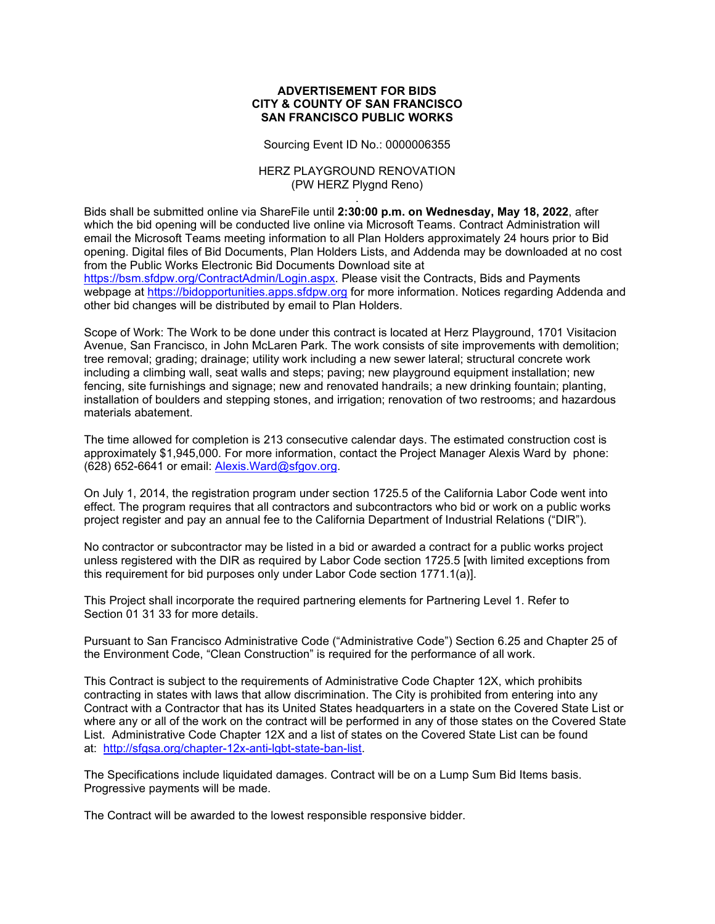## **ADVERTISEMENT FOR BIDS CITY & COUNTY OF SAN FRANCISCO SAN FRANCISCO PUBLIC WORKS**

Sourcing Event ID No.: 0000006355

## HERZ PLAYGROUND RENOVATION (PW HERZ Plygnd Reno)

. Bids shall be submitted online via ShareFile until **2:30:00 p.m. on Wednesday, May 18, 2022**, after which the bid opening will be conducted live online via Microsoft Teams. Contract Administration will email the Microsoft Teams meeting information to all Plan Holders approximately 24 hours prior to Bid opening. Digital files of Bid Documents, Plan Holders Lists, and Addenda may be downloaded at no cost from the Public Works Electronic Bid Documents Download site at [https://bsm.sfdpw.org/ContractAdmin/Login.aspx.](https://bsm.sfdpw.org/ContractAdmin/Login.aspx) Please visit the Contracts, Bids and Payments webpage at [https://bidopportunities.apps.sfdpw.org](https://bidopportunities.apps.sfdpw.org/) for more information. Notices regarding Addenda and other bid changes will be distributed by email to Plan Holders.

Scope of Work: The Work to be done under this contract is located at Herz Playground, 1701 Visitacion Avenue, San Francisco, in John McLaren Park. The work consists of site improvements with demolition; tree removal; grading; drainage; utility work including a new sewer lateral; structural concrete work including a climbing wall, seat walls and steps; paving; new playground equipment installation; new fencing, site furnishings and signage; new and renovated handrails; a new drinking fountain; planting, installation of boulders and stepping stones, and irrigation; renovation of two restrooms; and hazardous materials abatement.

The time allowed for completion is 213 consecutive calendar days. The estimated construction cost is approximately \$1,945,000. For more information, contact the Project Manager Alexis Ward by phone: (628) 652-6641 or email: [Alexis.Ward@sfgov.org.](mailto:alexis.ward@sfgov.org)

On July 1, 2014, the registration program under section 1725.5 of the California Labor Code went into effect. The program requires that all contractors and subcontractors who bid or work on a public works project register and pay an annual fee to the California Department of Industrial Relations ("DIR").

No contractor or subcontractor may be listed in a bid or awarded a contract for a public works project unless registered with the DIR as required by Labor Code section 1725.5 [with limited exceptions from this requirement for bid purposes only under Labor Code section 1771.1(a)].

This Project shall incorporate the required partnering elements for Partnering Level 1. Refer to Section 01 31 33 for more details.

Pursuant to San Francisco Administrative Code ("Administrative Code") Section 6.25 and Chapter 25 of the Environment Code, "Clean Construction" is required for the performance of all work.

This Contract is subject to the requirements of Administrative Code Chapter 12X, which prohibits contracting in states with laws that allow discrimination. The City is prohibited from entering into any Contract with a Contractor that has its United States headquarters in a state on the Covered State List or where any or all of the work on the contract will be performed in any of those states on the Covered State List. Administrative Code Chapter 12X and a list of states on the Covered State List can be found at: [http://sfgsa.org/chapter-12x-anti-lgbt-state-ban-list.](http://sfgsa.org/chapter-12x-anti-lgbt-state-ban-list)

The Specifications include liquidated damages. Contract will be on a Lump Sum Bid Items basis. Progressive payments will be made.

The Contract will be awarded to the lowest responsible responsive bidder.